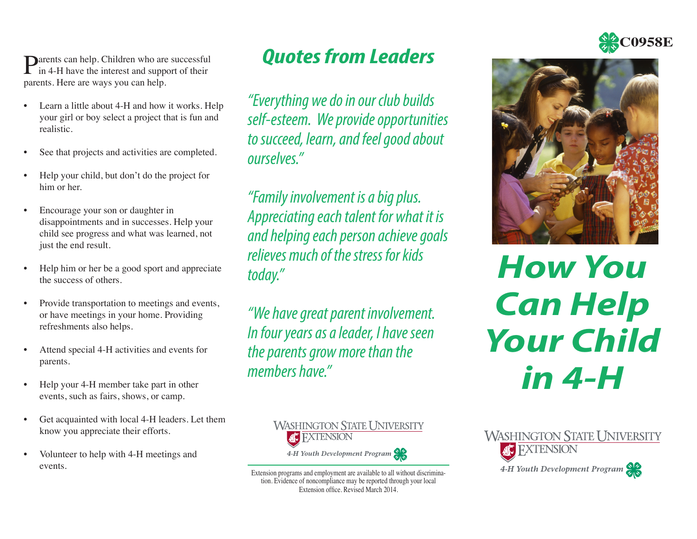**Darents can help.** Children who are successful  $\Gamma$  in 4-H have the interest and support of their parents. Here are ways you can help.

- Learn a little about 4-H and how it works. Help your girl or boy select a project that is fun and realistic.
- See that projects and activities are completed.
- Help your child, but don't do the project for him or her.
- Encourage your son or daughter in disappointments and in successes. Help your child see progress and what was learned, not just the end result.
- Help him or her be a good sport and appreciate the success of others.
- Provide transportation to meetings and events, or have meetings in your home. Providing refreshments also helps.
- Attend special 4-H activities and events for parents.
- Help your 4-H member take part in other events, such as fairs, shows, or camp.
- Get acquainted with local 4-H leaders. Let them know you appreciate their efforts.
- Volunteer to help with 4-H meetings and events.

*Quotes from Leaders* 

*"Everything we do in our club builds self-esteem. We provide opportunities to succeed, learn, and feel good about ourselves."*

*"Family involvement is a big plus. Appreciating each talent for what it is and helping each person achieve goals relieves much of the stress for kids today."*

*"We have great parent involvement. In four years as a leader, I have seen the parents grow more than the members have."*



Extension programs and employment are available to all without discrimina tion. Evidence of noncompliance may be reported through your local Extension office. Revised March 2014.



*How You Can Help Your Child in 4-H*